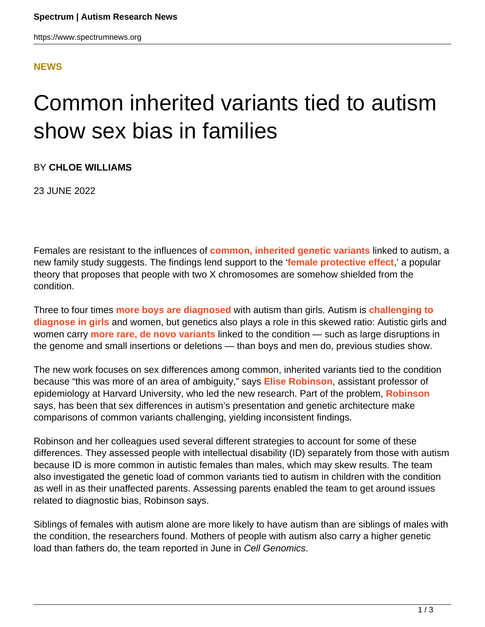## **[NEWS](HTTPS://WWW.SPECTRUMNEWS.ORG/NEWS/)**

## Common inherited variants tied to autism show sex bias in families

BY **CHLOE WILLIAMS**

23 JUNE 2022

Females are resistant to the influences of **[common, inherited genetic variants](https://doi.org/10.1016/j.xgen.2022.100134)** linked to autism, a new family study suggests. The findings lend support to the '**[female protective effect](https://www.spectrumnews.org/news/female-protective-effect-explained/)**,' a popular theory that proposes that people with two X chromosomes are somehow shielded from the condition.

Three to four times **[more boys are diagnosed](https://www.spectrumnews.org/news/autisms-sex-ratio-explained/)** with autism than girls. Autism is **[challenging to](https://www.spectrumnews.org/features/deep-dive/the-lost-girls/) [diagnose in girls](https://www.spectrumnews.org/features/deep-dive/the-lost-girls/)** and women, but genetics also plays a role in this skewed ratio: Autistic girls and women carry **[more rare, de novo variants](https://www.spectrumnews.org/news/searching-for-the-biology-behind-autisms-sex-bias/)** linked to the condition — such as large disruptions in the genome and small insertions or deletions — than boys and men do, previous studies show.

The new work focuses on sex differences among common, inherited variants tied to the condition because "this was more of an area of ambiguity," says **[Elise Robinson](https://www.hsph.harvard.edu/profile/elise-brooks-robinson/)**, assistant professor of epidemiology at Harvard University, who led the new research. Part of the problem, **[Robinson](https://www.spectrumnews.org/news/elise-robinson-untangling-the-roots-of-cause-and-effect/)** says, has been that sex differences in autism's presentation and genetic architecture make comparisons of common variants challenging, yielding inconsistent findings.

Robinson and her colleagues used several different strategies to account for some of these differences. They assessed people with intellectual disability (ID) separately from those with autism because ID is more common in autistic females than males, which may skew results. The team also investigated the genetic load of common variants tied to autism in children with the condition as well in as their unaffected parents. Assessing parents enabled the team to get around issues related to diagnostic bias, Robinson says.

Siblings of females with autism alone are more likely to have autism than are siblings of males with the condition, the researchers found. Mothers of people with autism also carry a higher genetic load than fathers do, the team reported in June in Cell Genomics.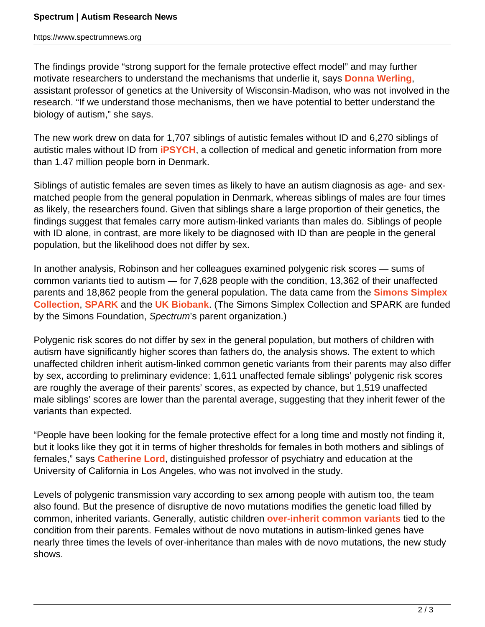https://www.spectrumnews.org

The findings provide "strong support for the female protective effect model" and may further motivate researchers to understand the mechanisms that underlie it, says **[Donna Werling](https://genetics.wisc.edu/staff/werling/)**, assistant professor of genetics at the University of Wisconsin-Madison, who was not involved in the research. "If we understand those mechanisms, then we have potential to better understand the biology of autism," she says.

The new work drew on data for 1,707 siblings of autistic females without ID and 6,270 siblings of autistic males without ID from **[iPSYCH](https://ipsych.dk/en/about-ipsych)**, a collection of medical and genetic information from more than 1.47 million people born in Denmark.

Siblings of autistic females are seven times as likely to have an autism diagnosis as age- and sexmatched people from the general population in Denmark, whereas siblings of males are four times as likely, the researchers found. Given that siblings share a large proportion of their genetics, the findings suggest that females carry more autism-linked variants than males do. Siblings of people with ID alone, in contrast, are more likely to be diagnosed with ID than are people in the general population, but the likelihood does not differ by sex.

In another analysis, Robinson and her colleagues examined polygenic risk scores — sums of common variants tied to autism — for 7,628 people with the condition, 13,362 of their unaffected parents and 18,862 people from the general population. The data came from the **[Simons Simplex](https://www.sfari.org/resource/simons-simplex-collection/) [Collection](https://www.sfari.org/resource/simons-simplex-collection/)**, **[SPARK](https://sparkforautism.org/)** and the **[UK Biobank](https://www.spectrumnews.org/news/toolbox/large-u-k-database-reveals-links-genes-brain-function/)**. (The Simons Simplex Collection and SPARK are funded by the Simons Foundation, Spectrum's parent organization.)

Polygenic risk scores do not differ by sex in the general population, but mothers of children with autism have significantly higher scores than fathers do, the analysis shows. The extent to which unaffected children inherit autism-linked common genetic variants from their parents may also differ by sex, according to preliminary evidence: 1,611 unaffected female siblings' polygenic risk scores are roughly the average of their parents' scores, as expected by chance, but 1,519 unaffected male siblings' scores are lower than the parental average, suggesting that they inherit fewer of the variants than expected.

"People have been looking for the female protective effect for a long time and mostly not finding it, but it looks like they got it in terms of higher thresholds for females in both mothers and siblings of females," says **[Catherine Lord](https://www.semel.ucla.edu/autism/team/catherine-lord-phd)**, distinguished professor of psychiatry and education at the University of California in Los Angeles, who was not involved in the study.

Levels of polygenic transmission vary according to sex among people with autism too, the team also found. But the presence of disruptive de novo mutations modifies the genetic load filled by common, inherited variants. Generally, autistic children **[over-inherit common variants](https://www.spectrumnews.org/news/common-variants-rare-mutations-combine-shape-autism-risk/)** tied to the condition from their parents. Females without de novo mutations in autism-linked genes have nearly three times the levels of over-inheritance than males with de novo mutations, the new study shows.